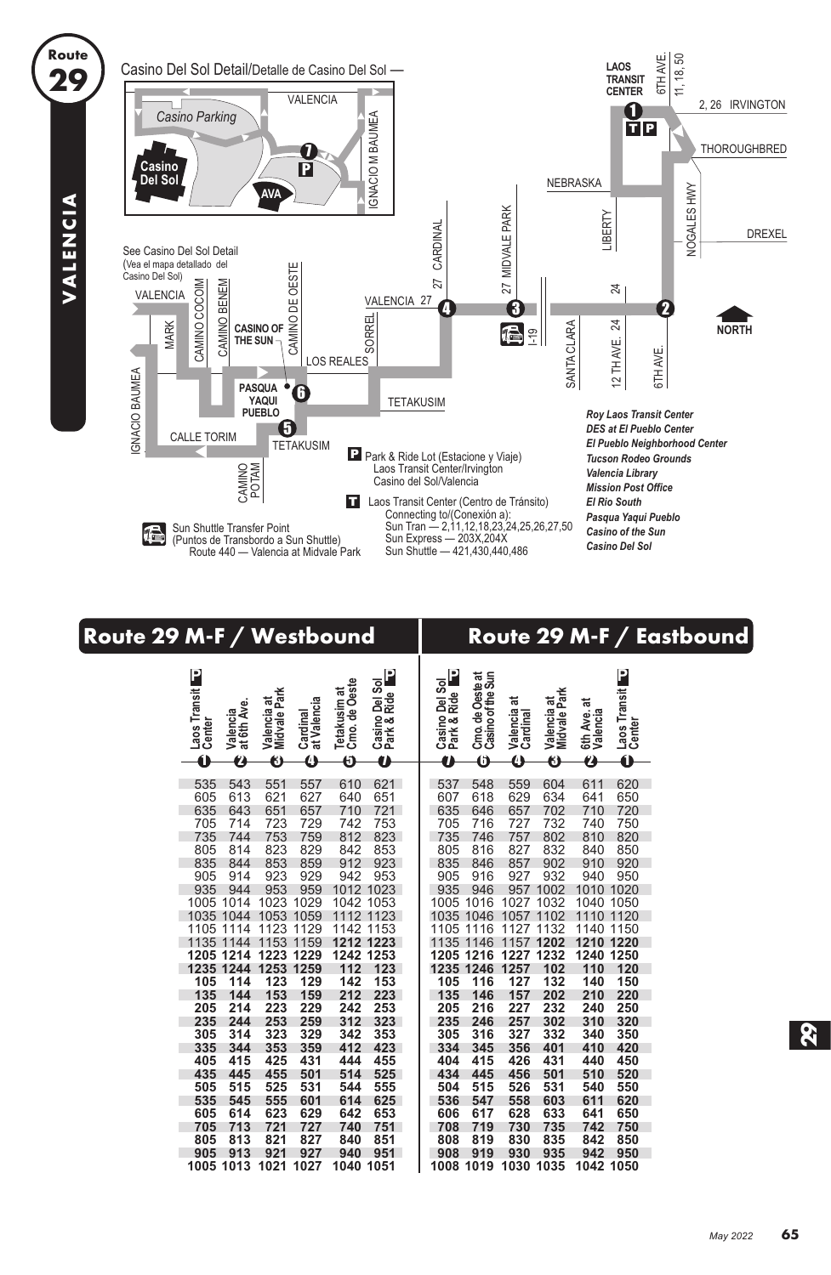

## **Route 29 M-F / Westbound Route 29 M-F / Eastbound**

| Laos Transit<br>at 6th Ave.<br>Valencia<br>Center<br>Ó<br>2 | Midvale Park<br>Valencia at<br>at Valencia<br>Cardinal<br>0<br>A | P<br>Casino Del Sol<br>Park & Ride<br>Cmo. de Oeste<br>Tetakusim at<br>Õ<br>Ź | Ρ<br>Casino Del Sol<br>Park & Ride<br>Ĥ | Cmo. de Oeste at<br>Casino of the Sun<br>Ô | ಸ<br>Valencia<br>Cardinal<br>Ô | Midvale Park<br>Valencia at<br>0 | 6th Ave. at<br>Valencia<br>Ø | Laos Transit<br>Center<br>Ó |
|-------------------------------------------------------------|------------------------------------------------------------------|-------------------------------------------------------------------------------|-----------------------------------------|--------------------------------------------|--------------------------------|----------------------------------|------------------------------|-----------------------------|
| 535<br>543                                                  | 551<br>557                                                       | 621<br>610                                                                    | 537                                     | 548                                        | 559                            | 604                              | 611                          | 620                         |
| 605<br>613                                                  | 621<br>627                                                       | 651<br>640                                                                    | 607                                     | 618                                        | 629                            | 634                              | 641                          | 650                         |
| 635<br>643                                                  | 651<br>657                                                       | 710<br>721                                                                    | 635                                     | 646                                        | 657                            | 702                              | 710                          | 720                         |
| 705<br>714                                                  | 723<br>729                                                       | 742<br>753                                                                    | 705                                     | 716                                        | 727                            | 732                              | 740                          | 750                         |
| 735<br>744                                                  | 753<br>759                                                       | 812<br>823                                                                    | 735                                     | 746                                        | 757                            | 802                              | 810                          | 820                         |
| 805<br>814                                                  | 829<br>823                                                       | 842<br>853                                                                    | 805                                     | 816                                        | 827                            | 832                              | 840                          | 850                         |
| 835<br>844                                                  | 853<br>859                                                       | 912<br>923                                                                    | 835                                     | 846                                        | 857                            | 902                              | 910                          | 920                         |
| 905<br>914                                                  | 929<br>923                                                       | 942<br>953                                                                    | 905                                     | 916                                        | 927                            | 932                              | 940                          | 950                         |
| 935<br>944                                                  | 953<br>959                                                       | 1023<br>1012                                                                  | 935                                     | 946                                        | 957                            | 1002                             | 1010                         | 1020                        |
| 1005<br>1014                                                | 1023<br>1029                                                     | 1053<br>1042                                                                  | 1005                                    | 1016                                       | 1027                           | 1032                             | 1040                         | 1050                        |
| 1044<br>1035                                                | 1053<br>1059                                                     | 1123<br>1112                                                                  | 1035                                    | 1046                                       | 1057                           | 1102                             | 1110                         | 1120                        |
| 1105<br>1114                                                | 1123<br>1129                                                     | 1153<br>1142                                                                  | 1105                                    | 1116                                       | 1127                           | 1132                             | 1140                         | 1150                        |
| 1135<br>1144                                                | 1153<br>159<br>1                                                 | 1212<br>1223                                                                  | 1135                                    | 146<br>$\mathbf 1$                         | 1157                           | 1202                             | 1210                         | 1220                        |
| 1205<br>1214<br>1235<br>1244                                | 1223<br>1253<br>1229                                             | 1242<br>1253<br>112<br>123                                                    | 1205                                    | 1216<br>1235 1246                          | 1227<br>1257                   | 1232<br>102                      | 1240<br>110                  | 1250                        |
| 105<br>114                                                  | 1259<br>123<br>129                                               | 142<br>153                                                                    | 105                                     | 116                                        | 127                            | 132                              | 140                          | 120<br>150                  |
| 135<br>144                                                  | 153<br>159                                                       | 212<br>223                                                                    | 135                                     | 146                                        | 157                            | 202                              | 210                          | 220                         |
| 214<br>205                                                  | 223<br>229                                                       | 242<br>253                                                                    | 205                                     | 216                                        | 227                            | 232                              | 240                          | 250                         |
| 235<br>244                                                  | 259<br>253                                                       | 312<br>323                                                                    | 235                                     | 246                                        | 257                            | 302                              | 310                          | 320                         |
| 305<br>314                                                  | 323<br>329                                                       | 342<br>353                                                                    | 305                                     | 316                                        | 327                            | 332                              | 340                          | 350                         |
| 335<br>344                                                  | 353<br>359                                                       | 412<br>423                                                                    | 334                                     | 345                                        | 356                            | 401                              | 410                          | 420                         |
| 405<br>415                                                  | 425<br>431                                                       | 455<br>444                                                                    | 404                                     | 415                                        | 426                            | 431                              | 440                          | 450                         |
| 435<br>445                                                  | 455<br>501                                                       | 514<br>525                                                                    | 434                                     | 445                                        | 456                            | 501                              | 510                          | 520                         |
| 505<br>515                                                  | 525<br>531                                                       | 544<br>555                                                                    | 504                                     | 515                                        | 526                            | 531                              | 540                          | 550                         |
| 535<br>545                                                  | 555<br>601                                                       | 614<br>625                                                                    | 536                                     | 547                                        | 558                            | 603                              | 611                          | 620                         |
| 605<br>614                                                  | 623<br>629                                                       | 642<br>653                                                                    | 606                                     | 617                                        | 628                            | 633                              | 641                          | 650                         |
| 705<br>713                                                  | 721<br>727                                                       | 751<br>740                                                                    | 708                                     | 719                                        | 730                            | 735                              | 742                          | 750                         |
| 813<br>805                                                  | 821<br>827                                                       | 840<br>851                                                                    | 808                                     | 819                                        | 830                            | 835                              | 842                          | 850                         |
| 905<br>913                                                  | 921<br>927                                                       | 940<br>951                                                                    | 908                                     | 919                                        | 930                            | 935                              | 942                          | 950                         |
| 1005<br>1013                                                | 1021<br>1027                                                     | 1040<br>1051                                                                  | 1008                                    | 1019                                       | 1030                           | 1035                             | 1042                         | 1050                        |

VALENCIA **VALENCIA**